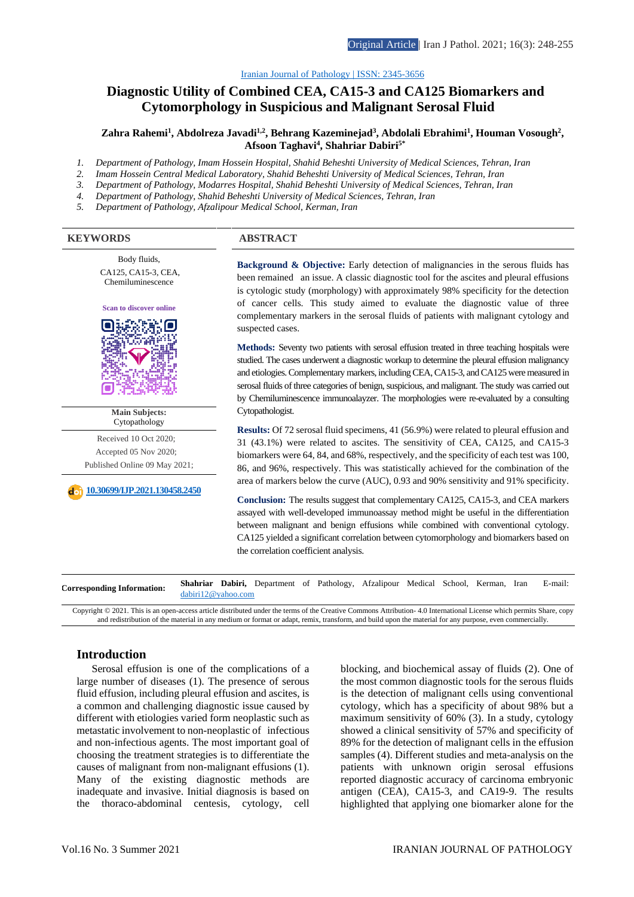### [Iranian Journal of Pathology | ISSN: 2345-3656](http://ijp.iranpath.org/)

# **Diagnostic Utility of Combined CEA, CA15-3 and CA125 Biomarkers and Cytomorphology in Suspicious and Malignant Serosal Fluid**

### Zahra Rahemi<sup>1</sup>, Abdolreza Javadi<sup>1,2</sup>, Behrang Kazeminejad<sup>3</sup>, Abdolali Ebrahimi<sup>1</sup>, Houman Vosough<sup>2</sup>, **Afsoon Taghavi4 , Shahriar Dabiri5\***

- *1. Department of Pathology, Imam Hossein Hospital, Shahid Beheshti University of Medical Sciences, Tehran, Iran*
- *2. Imam Hossein Central Medical Laboratory, Shahid Beheshti University of Medical Sciences, Tehran, Iran*
- *3. Department of Pathology, Modarres Hospital, Shahid Beheshti University of Medical Sciences, Tehran, Iran*
- *4. Department of Pathology, Shahid Beheshti University of Medical Sciences, Tehran, Iran*
- *5. Department of Pathology, Afzalipour Medical School, Kerman, Iran*

#### **KEYWORDS ABSTRACT**

Body fluids, CA125, CA15-3, CEA, Chemiluminescence



**Main Subjects:**  Cytopathology

Received 10 Oct 2020; Accepted 05 Nov 2020; Published Online 09 May 2021;

**[10.30699/IJP.2021.130458.2450](https://dx.doi.org/10.30699/IJP.2021.130458.2450)**

**Background & Objective:** Early detection of malignancies in the serous fluids has been remained an issue. A classic diagnostic tool for the ascites and pleural effusions is cytologic study (morphology) with approximately 98% specificity for the detection of cancer cells. This study aimed to evaluate the diagnostic value of three complementary markers in the serosal fluids of patients with malignant cytology and suspected cases.

**Methods:** Seventy two patients with serosal effusion treated in three teaching hospitals were studied. The cases underwent a diagnostic workup to determine the pleural effusion malignancy and etiologies. Complementary markers, including CEA, CA15-3, and CA125 were measured in serosal fluids of three categories of benign, suspicious, and malignant. The study was carried out by Chemiluminescence immunoalayzer. The morphologies were re-evaluated by a consulting Cytopathologist.

**Results:** Of 72 serosal fluid specimens, 41 (56.9%) were related to pleural effusion and 31 (43.1%) were related to ascites. The sensitivity of CEA, CA125, and CA15-3 biomarkers were 64, 84, and 68%, respectively, and the specificity of each test was 100, 86, and 96%, respectively. This was statistically achieved for the combination of the area of markers below the curve (AUC), 0.93 and 90% sensitivity and 91% specificity.

**Conclusion:** The results suggest that complementary CA125, CA15-3, and CEA markers assayed with well-developed immunoassay method might be useful in the differentiation between malignant and benign effusions while combined with conventional cytology. CA125 yielded a significant correlation between cytomorphology and biomarkers based on the correlation coefficient analysis.

**Corresponding Information: Shahriar Dabiri,** Department of Pathology, Afzalipour Medical School, Kerman, Iran E-mail: [dabiri12@yahoo.com](mailto:dabiri12@yahoo.com)

Copyright © 2021. This is an open-access article distributed under the terms of the Creative Commons Attribution- 4.0 International License which permits Share, copy and redistribution of the material in any medium or format or adapt, remix, transform, and build upon the material for any purpose, even commercially.

### **Introduction**

Serosal effusion is one of the complications of a large number of diseases (1). The presence of serous fluid effusion, including pleural effusion and ascites, is a common and challenging diagnostic issue caused by different with etiologies varied form neoplastic such as metastatic involvement to non-neoplastic of infectious and non-infectious agents. The most important goal of choosing the treatment strategies is to differentiate the causes of malignant from non-malignant effusions (1). Many of the existing diagnostic methods are inadequate and invasive. Initial diagnosis is based on the thoraco-abdominal centesis, cytology, cell blocking, and biochemical assay of fluids (2). One of the most common diagnostic tools for the serous fluids is the detection of malignant cells using conventional cytology, which has a specificity of about 98% but a maximum sensitivity of 60% (3). In a study, cytology showed a clinical sensitivity of 57% and specificity of 89% for the detection of malignant cells in the effusion samples (4). Different studies and meta-analysis on the patients with unknown origin serosal effusions reported diagnostic accuracy of carcinoma embryonic antigen (CEA), CA15-3, and CA19-9. The results highlighted that applying one biomarker alone for the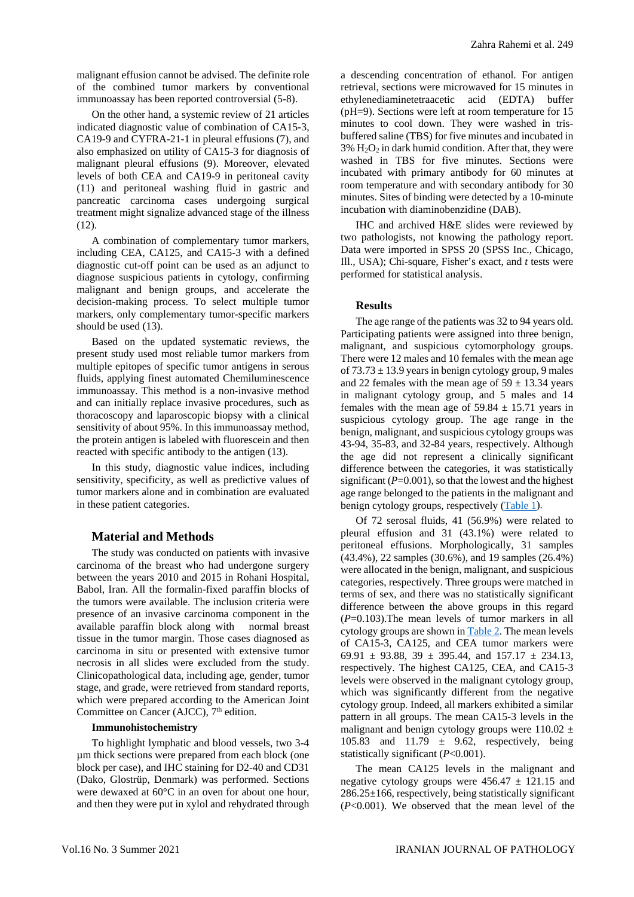malignant effusion cannot be advised. The definite role of the combined tumor markers by conventional immunoassay has been reported controversial (5-8).

On the other hand, a systemic review of 21 articles indicated diagnostic value of combination of CA15-3, CA19-9 and CYFRA-21-1 in pleural effusions (7), and also emphasized on utility of CA15-3 for diagnosis of malignant pleural effusions (9). Moreover, elevated levels of both CEA and CA19-9 in peritoneal cavity (11) and peritoneal washing fluid in gastric and pancreatic carcinoma cases undergoing surgical treatment might signalize advanced stage of the illness (12).

A combination of complementary tumor markers, including CEA, CA125, and CA15-3 with a defined diagnostic cut-off point can be used as an adjunct to diagnose suspicious patients in cytology, confirming malignant and benign groups, and accelerate the decision-making process. To select multiple tumor markers, only complementary tumor-specific markers should be used (13).

Based on the updated systematic reviews, the present study used most reliable tumor markers from multiple epitopes of specific tumor antigens in serous fluids, applying finest automated Chemiluminescence immunoassay. This method is a non-invasive method and can initially replace invasive procedures, such as thoracoscopy and laparoscopic biopsy with a clinical sensitivity of about 95%. In this immunoassay method, the protein antigen is labeled with fluorescein and then reacted with specific antibody to the antigen (13).

In this study, diagnostic value indices, including sensitivity, specificity, as well as predictive values of tumor markers alone and in combination are evaluated in these patient categories.

## **Material and Methods**

The study was conducted on patients with invasive carcinoma of the breast who had undergone surgery between the years 2010 and 2015 in Rohani Hospital, Babol, Iran. All the formalin-fixed paraffin blocks of the tumors were available. The inclusion criteria were presence of an invasive carcinoma component in the available paraffin block along with normal breast tissue in the tumor margin. Those cases diagnosed as carcinoma in situ or presented with extensive tumor necrosis in all slides were excluded from the study. Clinicopathological data, including age, gender, tumor stage, and grade, were retrieved from standard reports, which were prepared according to the American Joint Committee on Cancer (AJCC),  $7<sup>th</sup>$  edition.

## **Immunohistochemistry**

To highlight lymphatic and blood vessels, two 3-4 µm thick sections were prepared from each block (one block per case), and IHC staining for D2-40 and CD31 (Dako, Glostrüp, Denmark) was performed. Sections were dewaxed at 60°C in an oven for about one hour, and then they were put in xylol and rehydrated through a descending concentration of ethanol. For antigen retrieval, sections were microwaved for 15 minutes in ethylenediaminetetraacetic acid (EDTA) buffer (pH=9). Sections were left at room temperature for 15 minutes to cool down. They were washed in trisbuffered saline (TBS) for five minutes and incubated in  $3\%$  H<sub>2</sub>O<sub>2</sub> in dark humid condition. After that, they were washed in TBS for five minutes. Sections were incubated with primary antibody for 60 minutes at room temperature and with secondary antibody for 30 minutes. Sites of binding were detected by a 10-minute incubation with diaminobenzidine (DAB).

IHC and archived H&E slides were reviewed by two pathologists, not knowing the pathology report. Data were imported in SPSS 20 (SPSS Inc., Chicago, Ill., USA); Chi-square, Fisher's exact, and *t* tests were performed for statistical analysis.

## **Results**

The age range of the patients was 32 to 94 years old. Participating patients were assigned into three benign, malignant, and suspicious cytomorphology groups. There were 12 males and 10 females with the mean age of  $73.73 \pm 13.9$  years in benign cytology group, 9 males and 22 females with the mean age of  $59 \pm 13.34$  years in malignant cytology group, and 5 males and 14 females with the mean age of  $59.84 \pm 15.71$  years in suspicious cytology group. The age range in the benign, malignant, and suspicious cytology groups was 43-94, 35-83, and 32-84 years, respectively. Although the age did not represent a clinically significant difference between the categories, it was statistically significant  $(P=0.001)$ , so that the lowest and the highest age range belonged to the patients in the malignant and benign cytology groups, respectively [\(Table 1\)](#page-2-0).

Of 72 serosal fluids, 41 (56.9%) were related to pleural effusion and 31 (43.1%) were related to peritoneal effusions. Morphologically, 31 samples (43.4%), 22 samples (30.6%), and 19 samples (26.4%) were allocated in the benign, malignant, and suspicious categories, respectively. Three groups were matched in terms of sex, and there was no statistically significant difference between the above groups in this regard (*P*=0.103).The mean levels of tumor markers in all cytology groups are shown i[n Table 2.](#page-2-1) The mean levels of CA15-3, CA125, and CEA tumor markers were 69.91  $\pm$  93.88, 39  $\pm$  395.44, and 157.17  $\pm$  234.13, respectively. The highest CA125, CEA, and CA15-3 levels were observed in the malignant cytology group, which was significantly different from the negative cytology group. Indeed, all markers exhibited a similar pattern in all groups. The mean CA15-3 levels in the malignant and benign cytology groups were  $110.02 \pm$ 105.83 and 11.79  $\pm$  9.62, respectively, being statistically significant (*P*<0.001).

The mean CA125 levels in the malignant and negative cytology groups were  $456.47 \pm 121.15$  and 286.25±166, respectively, being statistically significant (*P*<0.001). We observed that the mean level of the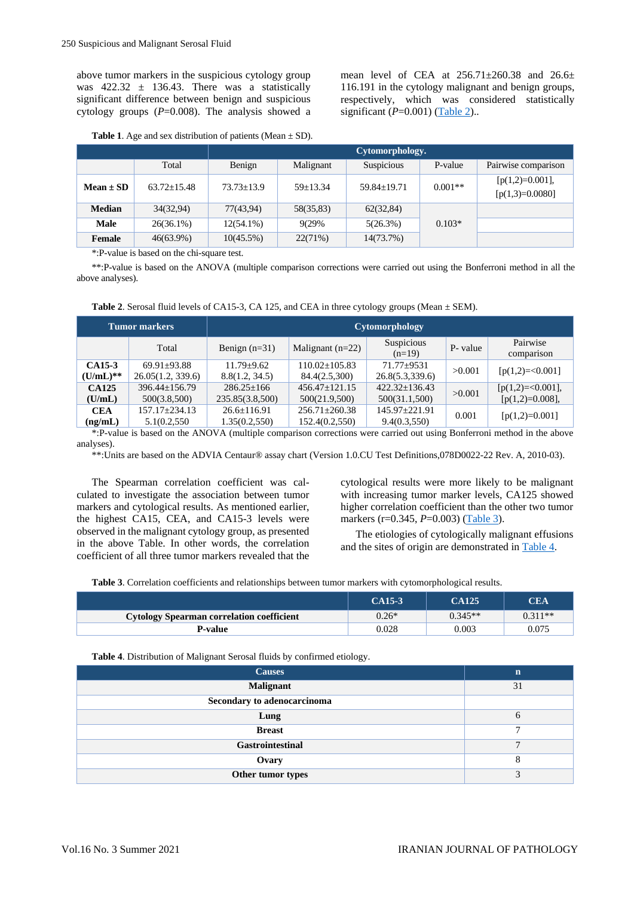above tumor markers in the suspicious cytology group was  $422.32 \pm 136.43$ . There was a statistically significant difference between benign and suspicious cytology groups  $(P=0.008)$ . The analysis showed a mean level of CEA at  $256.71 \pm 260.38$  and  $26.6 \pm$ 116.191 in the cytology malignant and benign groups, respectively, which was considered statistically significant (*P*=0.001) [\(Table 2\)](#page-2-1)..

<span id="page-2-1"></span>

| <b>Table 1.</b> Age and sex distribution of patients (Mean $\pm$ SD). |  |
|-----------------------------------------------------------------------|--|
|-----------------------------------------------------------------------|--|

<span id="page-2-0"></span>

|               |                   | Cytomorphology.  |            |                   |           |                                        |  |  |
|---------------|-------------------|------------------|------------|-------------------|-----------|----------------------------------------|--|--|
|               | Total             | Benign           | Malignant  | Suspicious        | P-value   | Pairwise comparison                    |  |  |
| $Mean \pm SD$ | $63.72 \pm 15.48$ | $73.73 \pm 13.9$ | $59+13.34$ | $59.84 \pm 19.71$ | $0.001**$ | $[p(1,2)=0.001],$<br>$[p(1,3)=0.0080]$ |  |  |
| <b>Median</b> | 34(32,94)         | 77(43,94)        | 58(35,83)  | 62(32,84)         |           |                                        |  |  |
| <b>Male</b>   | $26(36.1\%)$      | $12(54.1\%)$     | 9(29%)     | 5(26.3%)          | $0.103*$  |                                        |  |  |
| Female        | $46(63.9\%)$      | $10(45.5\%)$     | 22(71%)    | 14(73.7%)         |           |                                        |  |  |

\*:P-value is based on the chi-square test.

\*\*:P-value is based on the ANOVA (multiple comparison corrections were carried out using the Bonferroni method in all the above analyses).

|  |  |  |  | Table 2. Serosal fluid levels of CA15-3, CA 125, and CEA in three cytology groups (Mean $\pm$ SEM). |  |  |
|--|--|--|--|-----------------------------------------------------------------------------------------------------|--|--|
|  |  |  |  |                                                                                                     |  |  |

|                        | <b>Tumor markers</b>                 | Cytomorphology                     |                                       |                                   |          |                                          |  |  |
|------------------------|--------------------------------------|------------------------------------|---------------------------------------|-----------------------------------|----------|------------------------------------------|--|--|
|                        | Total                                | Benign $(n=31)$                    | Malignant $(n=22)$                    | Suspicious<br>$(n=19)$            | P- value | Pairwise<br>comparison                   |  |  |
| CA15-3<br>$(U/mL)**$   | $69.91 + 93.88$<br>26.05(1.2, 339.6) | $11.79 + 9.62$<br>8.8(1.2, 34.5)   | $110.02 + 105.83$<br>84.4(2.5,300)    | $71.77 + 9531$<br>26.8(5.3,339.6) | >0.001   | $[p(1,2)=0.001]$                         |  |  |
| <b>CA125</b><br>(U/mL) | $396.44 + 156.79$<br>500(3.8,500)    | $286.25 + 166$<br>235.85(3.8,500)  | $456.47 + 121.15$<br>500(21.9,500)    | $422.32+136.43$<br>500(31.1,500)  | >0.001   | $[p(1,2)=0.001]$ ,<br>$[p(1,2)=0.008]$ , |  |  |
| <b>CEA</b><br>(ng/mL)  | $157.17 + 234.13$<br>5.1(0.2,550     | $26.6 \pm 116.91$<br>1.35(0.2,550) | $256.71 \pm 260.38$<br>152.4(0.2,550) | 145.97+221.91<br>9.4(0.3,550)     | 0.001    | $[p(1,2)=0.001]$                         |  |  |

\*:P-value is based on the ANOVA (multiple comparison corrections were carried out using Bonferroni method in the above analyses).

\*\*:Units are based on the ADVIA Centaur® assay chart (Version 1.0.CU Test Definitions,078D0022-22 Rev. A, 2010-03).

The Spearman correlation coefficient was calculated to investigate the association between tumor markers and cytological results. As mentioned earlier, the highest CA15, CEA, and CA15-3 levels were observed in the malignant cytology group, as presented in the above Table. In other words, the correlation coefficient of all three tumor markers revealed that the cytological results were more likely to be malignant with increasing tumor marker levels, CA125 showed higher correlation coefficient than the other two tumor markers (r=0.345, *P*=0.003) [\(Table 3\)](#page-2-2).

The etiologies of cytologically malignant effusions and the sites of origin are demonstrated i[n Table 4.](#page-4-0)

**Table 3**. Correlation coefficients and relationships between tumor markers with cytomorphological results.

<span id="page-2-2"></span>

|                                                  | CA15-3  | <b>CA125</b> | <b>CEA</b> |
|--------------------------------------------------|---------|--------------|------------|
| <b>Cytology Spearman correlation coefficient</b> | $0.26*$ | $0.345**$    | $0.311**$  |
| P-value                                          | 0.028   | 0.003        | 0.075      |

**Table 4**. Distribution of Malignant Serosal fluids by confirmed etiology.

| <b>Causes</b>               | $\mathbf n$ |
|-----------------------------|-------------|
| <b>Malignant</b>            | 31          |
| Secondary to adenocarcinoma |             |
| Lung                        | h           |
| <b>Breast</b>               | −           |
| Gastrointestinal            | −           |
| Ovary                       | C<br>Ω      |
| Other tumor types           | $\bigcap$   |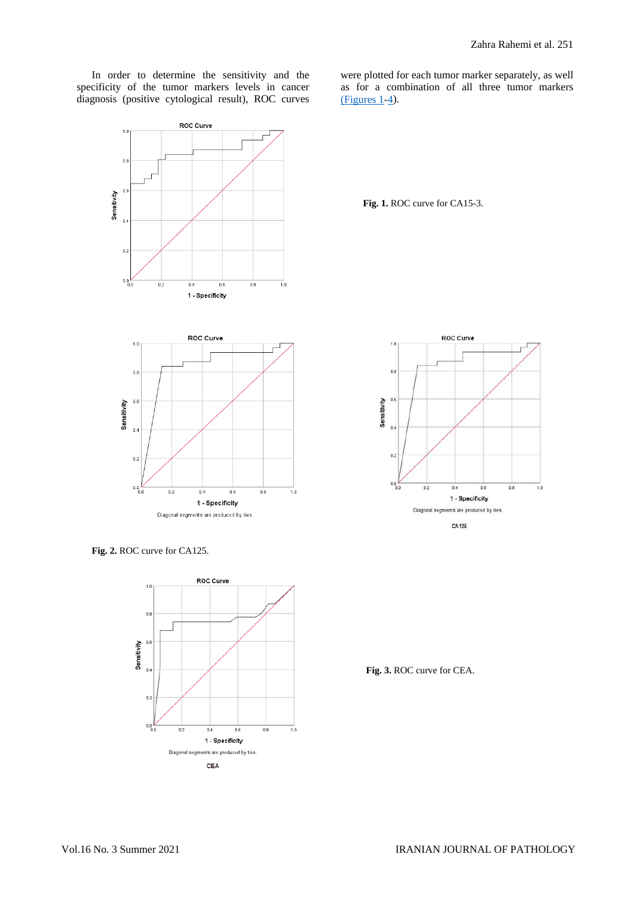In order to determine the sensitivity and the specificity of the tumor markers levels in cancer diagnosis (positive cytological result), ROC curves

ROC Curve

 $0.8$ 

 $\overline{a}$ Sensitivity  $\overline{a}$ 

 $0.2$ 

ا و.ه

 $\frac{1}{0.2}$ 

 $\overline{0.4}$ 1 - Specificity were plotted for each tumor marker separately, as well as for a combination of all three tumor markers  $(Figures 1-4)$  $(Figures 1-4)$ .

<span id="page-3-0"></span>**Fig. 1.** ROC curve for CA15-3.



 $\overline{0.6}$ 

 $\overline{0.8}$ 

 $\frac{1}{1.0}$ 



ROC Curve

<span id="page-3-1"></span>**Fig. 2.** ROC curve for CA125.



**Fig. 3.** ROC curve for CEA.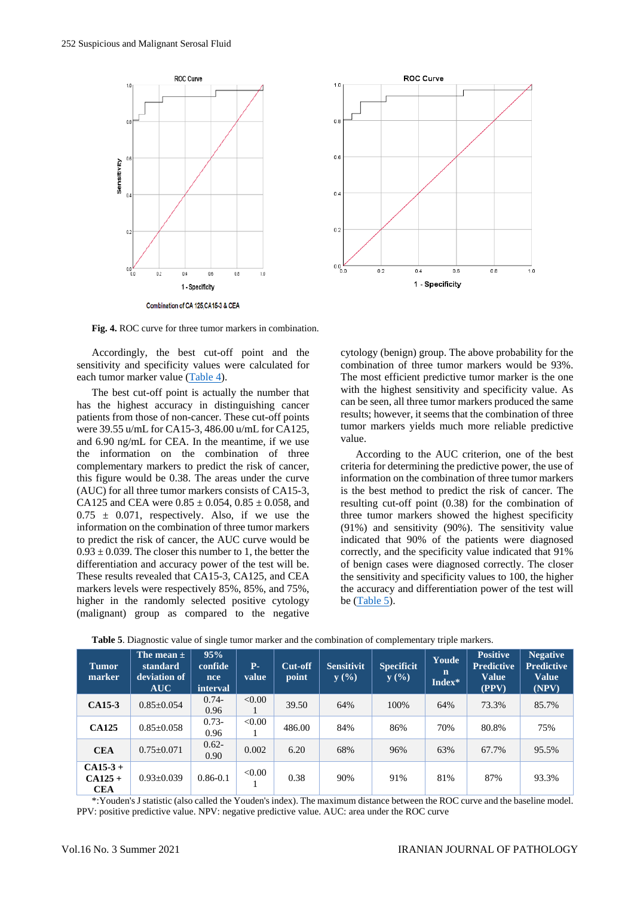



**Fig. 4.** ROC curve for three tumor markers in combination.

Accordingly, the best cut-off point and the sensitivity and specificity values were calculated for each tumor marker value [\(Table 4\)](#page-4-0).

The best cut-off point is actually the number that has the highest accuracy in distinguishing cancer patients from those of non-cancer. These cut-off points were 39.55 u/mL for CA15-3, 486.00 u/mL for CA125, and 6.90 ng/mL for CEA. In the meantime, if we use the information on the combination of three complementary markers to predict the risk of cancer, this figure would be 0.38. The areas under the curve (AUC) for all three tumor markers consists of CA15-3, CA125 and CEA were  $0.85 \pm 0.054$ ,  $0.85 \pm 0.058$ , and  $0.75 \pm 0.071$ , respectively. Also, if we use the information on the combination of three tumor markers to predict the risk of cancer, the AUC curve would be  $0.93 \pm 0.039$ . The closer this number to 1, the better the differentiation and accuracy power of the test will be. These results revealed that CA15-3, CA125, and CEA markers levels were respectively 85%, 85%, and 75%, higher in the randomly selected positive cytology (malignant) group as compared to the negative

cytology (benign) group. The above probability for the combination of three tumor markers would be 93%. The most efficient predictive tumor marker is the one with the highest sensitivity and specificity value. As can be seen, all three tumor markers produced the same results; however, it seems that the combination of three tumor markers yields much more reliable predictive value.

According to the AUC criterion, one of the best criteria for determining the predictive power, the use of information on the combination of three tumor markers is the best method to predict the risk of cancer. The resulting cut-off point (0.38) for the combination of three tumor markers showed the highest specificity (91%) and sensitivity (90%). The sensitivity value indicated that 90% of the patients were diagnosed correctly, and the specificity value indicated that 91% of benign cases were diagnosed correctly. The closer the sensitivity and specificity values to 100, the higher the accuracy and differentiation power of the test will be [\(Table 5\)](#page-4-0).

| <b>Tumor</b><br>marker              | The mean $\pm$<br>standard<br>deviation of<br><b>AUC</b> | 95%<br>confide<br><sub>nce</sub><br>interval | <b>P.</b><br>value | Cut-off<br>point | <b>Sensitivit</b><br>y(%) | <b>Specificit</b><br>y(%) | Youde<br>n<br>Index* | <b>Positive</b><br><b>Predictive</b><br><b>Value</b><br>(PPV) | <b>Negative</b><br><b>Predictive</b><br><b>Value</b><br>(NPV) |
|-------------------------------------|----------------------------------------------------------|----------------------------------------------|--------------------|------------------|---------------------------|---------------------------|----------------------|---------------------------------------------------------------|---------------------------------------------------------------|
| CA15-3                              | $0.85 \pm 0.054$                                         | $0.74 -$<br>0.96                             | < 0.00             | 39.50            | 64%                       | 100%                      | 64%                  | 73.3%                                                         | 85.7%                                                         |
| <b>CA125</b>                        | $0.85 \pm 0.058$                                         | $0.73-$<br>0.96                              | < 0.00             | 486.00           | 84%                       | 86%                       | 70%                  | 80.8%                                                         | 75%                                                           |
| <b>CEA</b>                          | $0.75 \pm 0.071$                                         | $0.62 -$<br>0.90                             | 0.002              | 6.20             | 68%                       | 96%                       | 63%                  | 67.7%                                                         | 95.5%                                                         |
| $CA15-3+$<br>$CA125+$<br><b>CEA</b> | $0.93+0.039$                                             | $0.86 - 0.1$                                 | < 0.00             | 0.38             | 90%                       | 91%                       | 81%                  | 87%                                                           | 93.3%                                                         |

<span id="page-4-0"></span>**Table 5**. Diagnostic value of single tumor marker and the combination of complementary triple markers.

\*:Youden's J statistic (also called the Youden's index). The maximum distance between the ROC curve and the baseline model. PPV: positive predictive value. NPV: negative predictive value. AUC: area under the ROC curve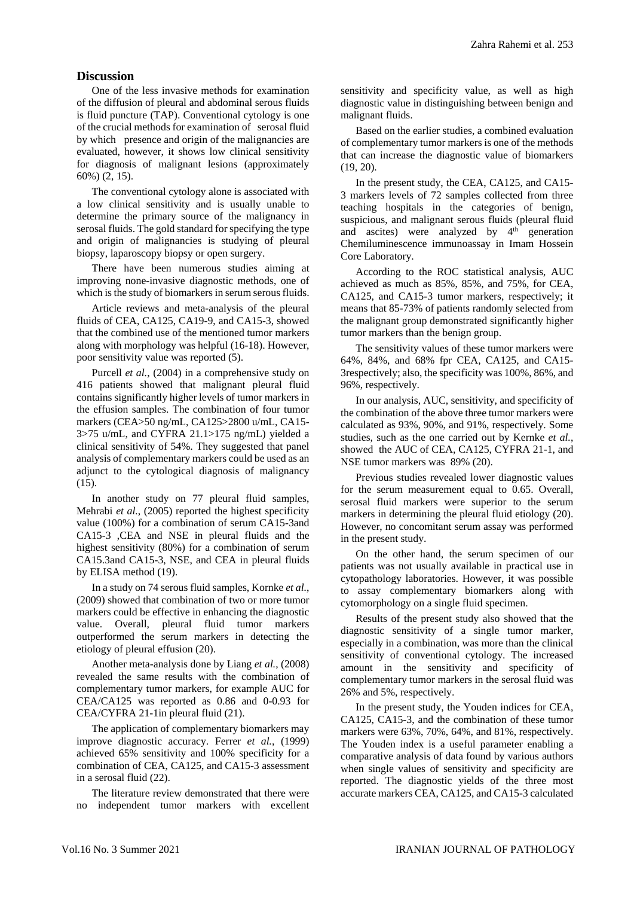## **Discussion**

One of the less invasive methods for examination of the diffusion of pleural and abdominal serous fluids is fluid puncture (TAP). Conventional cytology is one of the crucial methods for examination of serosal fluid by which presence and origin of the malignancies are evaluated, however, it shows low clinical sensitivity for diagnosis of malignant lesions (approximately 60%) (2, 15).

The conventional cytology alone is associated with a low clinical sensitivity and is usually unable to determine the primary source of the malignancy in serosal fluids. The gold standard for specifying the type and origin of malignancies is studying of pleural biopsy, laparoscopy biopsy or open surgery.

There have been numerous studies aiming at improving none-invasive diagnostic methods, one of which is the study of biomarkers in serum serous fluids.

Article reviews and meta-analysis of the pleural fluids of CEA, CA125, CA19-9, and CA15-3, showed that the combined use of the mentioned tumor markers along with morphology was helpful (16-18). However, poor sensitivity value was reported (5).

Purcell *et al.*, (2004) in a comprehensive study on 416 patients showed that malignant pleural fluid contains significantly higher levels of tumor markers in the effusion samples. The combination of four tumor markers (CEA>50 ng/mL, CA125>2800 u/mL, CA15- 3>75 u/mL, and CYFRA 21.1>175 ng/mL) yielded a clinical sensitivity of 54%. They suggested that panel analysis of complementary markers could be used as an adjunct to the cytological diagnosis of malignancy (15).

In another study on 77 pleural fluid samples, Mehrabi *et al.*, (2005) reported the highest specificity value (100%) for a combination of serum CA15-3and CA15-3 ,CEA and NSE in pleural fluids and the highest sensitivity (80%) for a combination of serum CA15.3and CA15-3, NSE, and CEA in pleural fluids by ELISA method (19).

In a study on 74 serous fluid samples, Kornke *et al.*, (2009) showed that combination of two or more tumor markers could be effective in enhancing the diagnostic value. Overall, pleural fluid tumor markers outperformed the serum markers in detecting the etiology of pleural effusion (20).

Another meta-analysis done by Liang *et al.*, (2008) revealed the same results with the combination of complementary tumor markers, for example AUC for CEA/CA125 was reported as 0.86 and 0-0.93 for CEA/CYFRA 21-1in pleural fluid (21).

The application of complementary biomarkers may improve diagnostic accuracy. Ferrer *et al.*, (1999) achieved 65% sensitivity and 100% specificity for a combination of CEA, CA125, and CA15-3 assessment in a serosal fluid (22).

The literature review demonstrated that there were no independent tumor markers with excellent sensitivity and specificity value, as well as high diagnostic value in distinguishing between benign and malignant fluids.

Based on the earlier studies, a combined evaluation of complementary tumor markers is one of the methods that can increase the diagnostic value of biomarkers (19, 20).

In the present study, the CEA, CA125, and CA15- 3 markers levels of 72 samples collected from three teaching hospitals in the categories of benign, suspicious, and malignant serous fluids (pleural fluid and ascites) were analyzed by  $4<sup>th</sup>$  generation Chemiluminescence immunoassay in Imam Hossein Core Laboratory.

According to the ROC statistical analysis, AUC achieved as much as 85%, 85%, and 75%, for CEA, CA125, and CA15-3 tumor markers, respectively; it means that 85-73% of patients randomly selected from the malignant group demonstrated significantly higher tumor markers than the benign group.

The sensitivity values of these tumor markers were 64%, 84%, and 68% fpr CEA, CA125, and CA15- 3respectively; also, the specificity was 100%, 86%, and 96%, respectively.

In our analysis, AUC, sensitivity, and specificity of the combination of the above three tumor markers were calculated as 93%, 90%, and 91%, respectively. Some studies, such as the one carried out by Kernke *et al.*, showed the AUC of CEA, CA125, CYFRA 21-1, and NSE tumor markers was 89% (20).

Previous studies revealed lower diagnostic values for the serum measurement equal to 0.65. Overall, serosal fluid markers were superior to the serum markers in determining the pleural fluid etiology (20). However, no concomitant serum assay was performed in the present study.

On the other hand, the serum specimen of our patients was not usually available in practical use in cytopathology laboratories. However, it was possible to assay complementary biomarkers along with cytomorphology on a single fluid specimen.

Results of the present study also showed that the diagnostic sensitivity of a single tumor marker, especially in a combination, was more than the clinical sensitivity of conventional cytology. The increased amount in the sensitivity and specificity of complementary tumor markers in the serosal fluid was 26% and 5%, respectively.

In the present study, the Youden indices for CEA, CA125, CA15-3, and the combination of these tumor markers were 63%, 70%, 64%, and 81%, respectively. The Youden index is a useful parameter enabling a comparative analysis of data found by various authors when single values of sensitivity and specificity are reported. The diagnostic yields of the three most accurate markers CEA, CA125, and CA15-3 calculated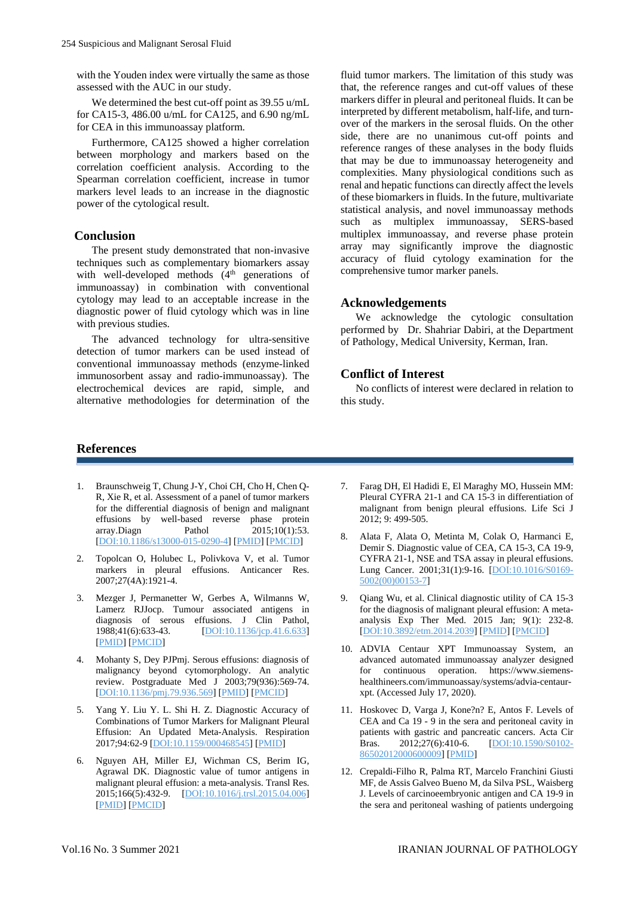with the Youden index were virtually the same as those assessed with the AUC in our study.

We determined the best cut-off point as 39.55 u/mL for CA15-3, 486.00 u/mL for CA125, and 6.90 ng/mL for CEA in this immunoassay platform.

Furthermore, CA125 showed a higher correlation between morphology and markers based on the correlation coefficient analysis. According to the Spearman correlation coefficient, increase in tumor markers level leads to an increase in the diagnostic power of the cytological result.

## **Conclusion**

The present study demonstrated that non-invasive techniques such as complementary biomarkers assay with well-developed methods (4<sup>th</sup> generations of immunoassay) in combination with conventional cytology may lead to an acceptable increase in the diagnostic power of fluid cytology which was in line with previous studies.

The advanced technology for ultra-sensitive detection of tumor markers can be used instead of conventional immunoassay methods (enzyme-linked immunosorbent assay and radio-immunoassay). The electrochemical devices are rapid, simple, and alternative methodologies for determination of the

fluid tumor markers. The limitation of this study was that, the reference ranges and cut-off values of these markers differ in pleural and peritoneal fluids. It can be interpreted by different metabolism, half-life, and turnover of the markers in the serosal fluids. On the other side, there are no unanimous cut-off points and reference ranges of these analyses in the body fluids that may be due to immunoassay heterogeneity and complexities. Many physiological conditions such as renal and hepatic functions can directly affect the levels of these biomarkers in fluids. In the future, multivariate statistical analysis, and novel immunoassay methods such as multiplex immunoassay, SERS-based multiplex immunoassay, and reverse phase protein array may significantly improve the diagnostic accuracy of fluid cytology examination for the comprehensive tumor marker panels.

## **Acknowledgements**

We acknowledge the cytologic consultation performed by Dr. Shahriar Dabiri, at the Department of Pathology, Medical University, Kerman, Iran.

## **Conflict of Interest**

No conflicts of interest were declared in relation to this study.

## **References**

- 1. Braunschweig T, Chung J-Y, Choi CH, Cho H, Chen Q-R, Xie R, et al. Assessment of a panel of tumor markers for the differential diagnosis of benign and malignant effusions by well-based reverse phase protein array.Diagn Pathol 2015;10(1):53. [\[DOI:10.1186/s13000-015-0290-4\]](https://doi.org/10.1186/s13000-015-0290-4) [\[PMID\]](https://www.ncbi.nlm.nih.gov/pubmed/26022333) [\[PMCID\]](http://www.ncbi.nlm.nih.gov/pmc/articles/PMC4447024)
- 2. Topolcan O, Holubec L, Polivkova V, et al. Tumor markers in pleural effusions. Anticancer Res. 2007;27(4A):1921-4.
- 3. Mezger J, Permanetter W, Gerbes A, Wilmanns W, Lamerz RJJocp. Tumour associated antigens in diagnosis of serous effusions. J Clin Pathol,  $1988:41(6):633-43$ .  $[DQ1:10.1136/ice.41.6.633]$ [\[DOI:10.1136/jcp.41.6.633\]](https://doi.org/10.1136/jcp.41.6.633) [\[PMID\]](https://www.ncbi.nlm.nih.gov/pubmed/2454957) [\[PMCID\]](http://www.ncbi.nlm.nih.gov/pmc/articles/PMC1141543)
- 4. Mohanty S, Dey PJPmj. Serous effusions: diagnosis of malignancy beyond cytomorphology. An analytic review. Postgraduate Med J 2003;79(936):569-74. [\[DOI:10.1136/pmj.79.936.569\]](https://doi.org/10.1136/pmj.79.936.569) [\[PMID\]](https://www.ncbi.nlm.nih.gov/pubmed/14612599) [\[PMCID\]](http://www.ncbi.nlm.nih.gov/pmc/articles/PMC1742845)
- 5. Yang Y. Liu Y. L. Shi H. Z. Diagnostic Accuracy of Combinations of Tumor Markers for Malignant Pleural Effusion: An Updated Meta-Analysis. Respiration 2017;94:62-9 [\[DOI:10.1159/000468545\]](https://doi.org/10.1159/000468545) [\[PMID\]](https://www.ncbi.nlm.nih.gov/pubmed/28427079)
- 6. Nguyen AH, Miller EJ, Wichman CS, Berim IG, Agrawal DK. Diagnostic value of tumor antigens in malignant pleural effusion: a meta-analysis. Transl Res. 2015;166(5):432-9. [\[DOI:10.1016/j.trsl.2015.04.006\]](https://doi.org/10.1016/j.trsl.2015.04.006) [\[PMID\]](https://www.ncbi.nlm.nih.gov/pubmed/25953662) [\[PMCID\]](http://www.ncbi.nlm.nih.gov/pmc/articles/PMC4608857)
- 7. Farag DH, El Hadidi E, El Maraghy MO, Hussein MM: Pleural CYFRA 21-1 and CA 15-3 in differentiation of malignant from benign pleural effusions. Life Sci J 2012; 9: 499-505.
- 8. Alata F, Alata O, Metinta M, Colak O, Harmanci E, Demir S. Diagnostic value of CEA, CA 15-3, CA 19-9, CYFRA 21-1, NSE and TSA assay in pleural effusions. Lung Cancer. 2001;31(1):9-16. [\[DOI:10.1016/S0169-](https://doi.org/10.1016/S0169-5002(00)00153-7) [5002\(00\)00153-7\]](https://doi.org/10.1016/S0169-5002(00)00153-7)
- 9. Qiang Wu, et al. Clinical diagnostic utility of CA 15-3 for the diagnosis of malignant pleural effusion: A metaanalysis Exp Ther Med. 2015 Jan; 9(1): 232-8. [\[DOI:10.3892/etm.2014.2039\]](https://doi.org/10.3892/etm.2014.2039) [\[PMID\]](https://www.ncbi.nlm.nih.gov/pubmed/25452808) [\[PMCID\]](http://www.ncbi.nlm.nih.gov/pmc/articles/PMC4247302)
- 10. ADVIA Centaur XPT Immunoassay System, an advanced automated immunoassay analyzer designed for continuous operation. https://www.siemenshealthineers.com/immunoassay/systems/advia-centaurxpt. (Accessed July 17, 2020).
- 11. Hoskovec D, Varga J, Kone?n? E, Antos F. Levels of CEA and Ca 19 - 9 in the sera and peritoneal cavity in patients with gastric and pancreatic cancers. Acta Cir Bras. 2012;27(6):410-6. [\[DOI:10.1590/S0102-](https://doi.org/10.1590/S0102-86502012000600009) [86502012000600009\]](https://doi.org/10.1590/S0102-86502012000600009) [\[PMID\]](https://www.ncbi.nlm.nih.gov/pubmed/22666759)
- 12. Crepaldi-Filho R, Palma RT, Marcelo Franchini Giusti MF, de Assis Galveo Bueno M, da Silva PSL, Waisberg J. Levels of carcinoeembryonic antigen and CA 19-9 in the sera and peritoneal washing of patients undergoing